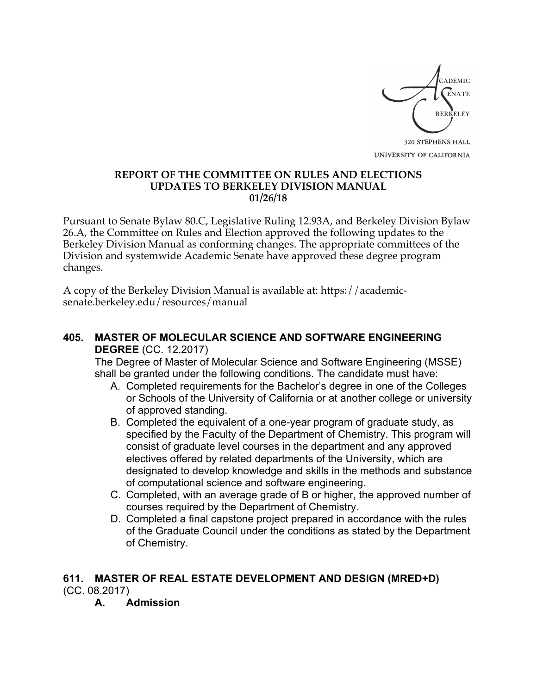

UNIVERSITY OF CALIFORNIA

## **REPORT OF THE COMMITTEE ON RULES AND ELECTIONS UPDATES TO BERKELEY DIVISION MANUAL 01/26/18**

Pursuant to Senate Bylaw 80.C, Legislative Ruling 12.93A, and Berkeley Division Bylaw 26.A, the Committee on Rules and Election approved the following updates to the Berkeley Division Manual as conforming changes. The appropriate committees of the Division and systemwide Academic Senate have approved these degree program changes.

A copy of the Berkeley Division Manual is available at: https://academicsenate.berkeley.edu/resources/manual

## **405. MASTER OF MOLECULAR SCIENCE AND SOFTWARE ENGINEERING DEGREE** (CC. 12.2017)

The Degree of Master of Molecular Science and Software Engineering (MSSE) shall be granted under the following conditions. The candidate must have:

- A. Completed requirements for the Bachelor's degree in one of the Colleges or Schools of the University of California or at another college or university of approved standing.
- B. Completed the equivalent of a one-year program of graduate study, as specified by the Faculty of the Department of Chemistry. This program will consist of graduate level courses in the department and any approved electives offered by related departments of the University, which are designated to develop knowledge and skills in the methods and substance of computational science and software engineering.
- C. Completed, with an average grade of B or higher, the approved number of courses required by the Department of Chemistry.
- D. Completed a final capstone project prepared in accordance with the rules of the Graduate Council under the conditions as stated by the Department of Chemistry.

## **611. MASTER OF REAL ESTATE DEVELOPMENT AND DESIGN (MRED+D)** (CC. 08.2017)

**A. Admission**